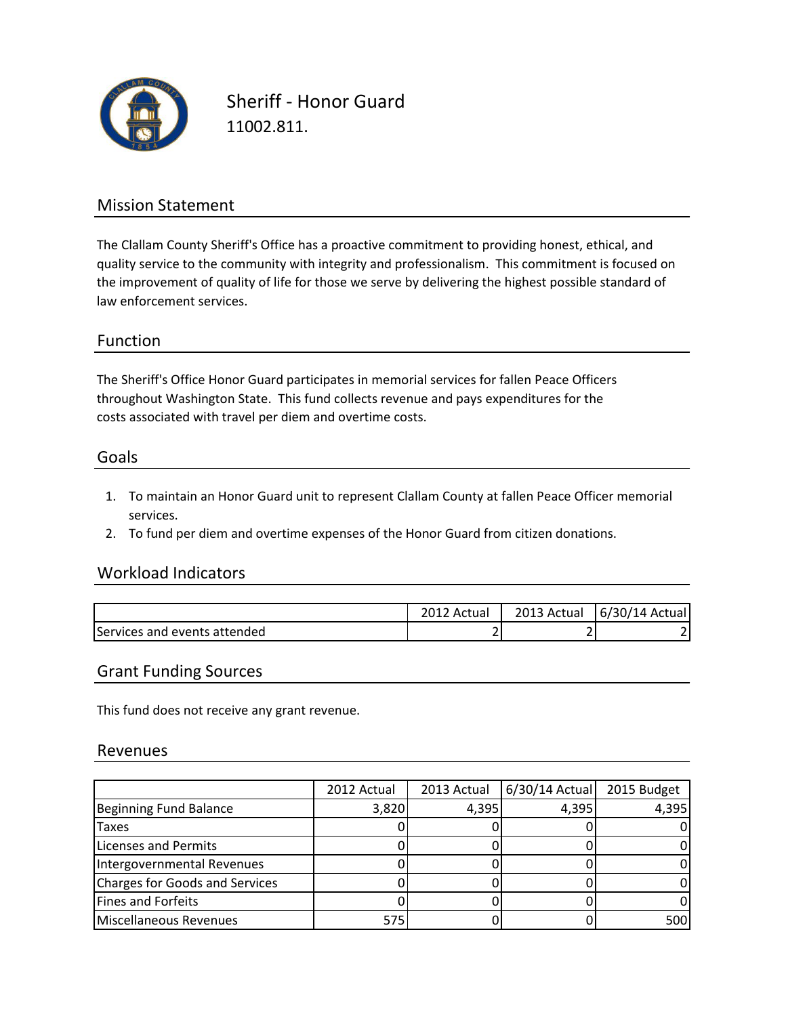

Sheriff - Honor Guard 11002.811.

## Mission Statement

The Clallam County Sheriff's Office has a proactive commitment to providing honest, ethical, and quality service to the community with integrity and professionalism. This commitment is focused on the improvement of quality of life for those we serve by delivering the highest possible standard of law enforcement services.

### Function

The Sheriff's Office Honor Guard participates in memorial services for fallen Peace Officers costs associated with travel per diem and overtime costs. throughout Washington State. This fund collects revenue and pays expenditures for the

#### Goals

- 1. To maintain an Honor Guard unit to represent Clallam County at fallen Peace Officer memorial services.
- 2. To fund per diem and overtime expenses of the Honor Guard from citizen donations.

### Workload Indicators

|                              | Actual | 2013<br>Actual | 6/30/14 Actual |
|------------------------------|--------|----------------|----------------|
| Services and events attended | _      |                |                |

#### Grant Funding Sources

This fund does not receive any grant revenue.

#### Revenues

|                                | 2012 Actual | 2013 Actual | $6/30/14$ Actual | 2015 Budget |
|--------------------------------|-------------|-------------|------------------|-------------|
| Beginning Fund Balance         | 3,820       | 4,395       | 4,395            | 4,395       |
| <b>Taxes</b>                   |             |             |                  |             |
| Licenses and Permits           |             |             |                  |             |
| Intergovernmental Revenues     |             |             |                  |             |
| Charges for Goods and Services |             |             |                  |             |
| Fines and Forfeits             |             |             |                  |             |
| Miscellaneous Revenues         | 575         |             |                  | 500         |